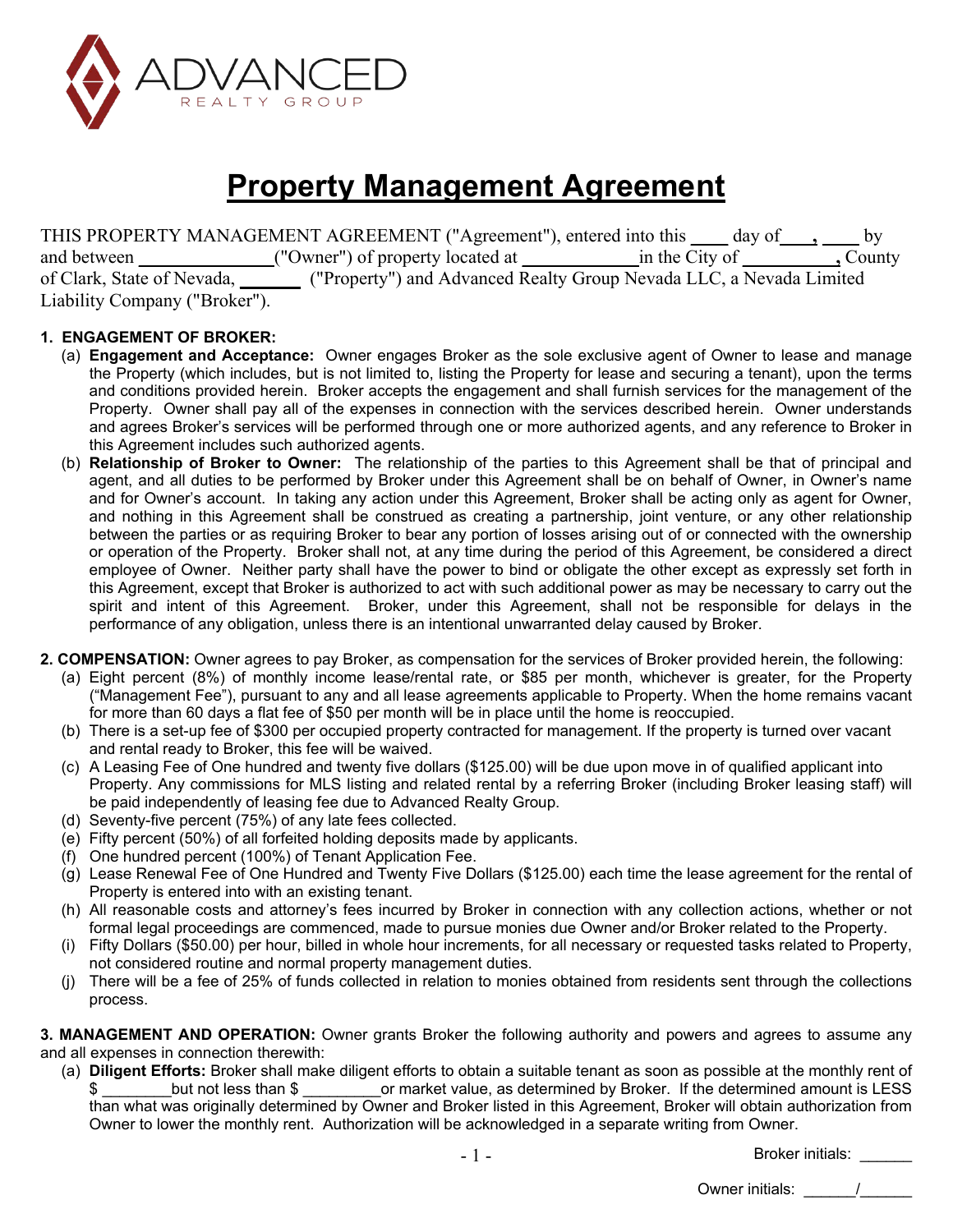

# **Property Management Agreement**

THIS PROPERTY MANAGEMENT AGREEMENT ("Agreement"), entered into this \_\_\_\_ day of\_\_\_, \_\_\_ by and between \_\_\_\_\_\_\_\_\_\_\_\_\_("Owner") of property located at \_\_\_\_\_\_\_\_\_\_\_\_\_in the City of \_\_\_\_\_\_\_\_\_\_\_\_, County of Clark, State of Nevada, **\_ \_\_** ("Property") and Advanced Realty Group Nevada LLC, a Nevada Limited Liability Company ("Broker").

## **1. ENGAGEMENT OF BROKER:**

- (a) **Engagement and Acceptance:** Owner engages Broker as the sole exclusive agent of Owner to lease and manage the Property (which includes, but is not limited to, listing the Property for lease and securing a tenant), upon the terms and conditions provided herein. Broker accepts the engagement and shall furnish services for the management of the Property. Owner shall pay all of the expenses in connection with the services described herein. Owner understands and agrees Broker's services will be performed through one or more authorized agents, and any reference to Broker in this Agreement includes such authorized agents.
- (b) **Relationship of Broker to Owner:** The relationship of the parties to this Agreement shall be that of principal and agent, and all duties to be performed by Broker under this Agreement shall be on behalf of Owner, in Owner's name and for Owner's account. In taking any action under this Agreement, Broker shall be acting only as agent for Owner, and nothing in this Agreement shall be construed as creating a partnership, joint venture, or any other relationship between the parties or as requiring Broker to bear any portion of losses arising out of or connected with the ownership or operation of the Property. Broker shall not, at any time during the period of this Agreement, be considered a direct employee of Owner. Neither party shall have the power to bind or obligate the other except as expressly set forth in this Agreement, except that Broker is authorized to act with such additional power as may be necessary to carry out the spirit and intent of this Agreement. Broker, under this Agreement, shall not be responsible for delays in the performance of any obligation, unless there is an intentional unwarranted delay caused by Broker.
- **2. COMPENSATION:** Owner agrees to pay Broker, as compensation for the services of Broker provided herein, the following:
	- (a) Eight percent (8%) of monthly income lease/rental rate, or \$85 per month, whichever is greater, for the Property ("Management Fee"), pursuant to any and all lease agreements applicable to Property. When the home remains vacant for more than 60 days a flat fee of \$50 per month will be in place until the home is reoccupied.
	- (b) There is a set-up fee of \$300 per occupied property contracted for management. If the property is turned over vacant and rental ready to Broker, this fee will be waived.
	- (c) A Leasing Fee of One hundred and twenty five dollars (\$125.00) will be due upon move in of qualified applicant into Property. Any commissions for MLS listing and related rental by a referring Broker (including Broker leasing staff) will be paid independently of leasing fee due to Advanced Realty Group.
	- (d) Seventy-five percent (75%) of any late fees collected.
	- (e) Fifty percent (50%) of all forfeited holding deposits made by applicants.
	- (f) One hundred percent (100%) of Tenant Application Fee.
	- (g) Lease Renewal Fee of One Hundred and Twenty Five Dollars (\$125.00) each time the lease agreement for the rental of Property is entered into with an existing tenant.
	- (h) All reasonable costs and attorney's fees incurred by Broker in connection with any collection actions, whether or not formal legal proceedings are commenced, made to pursue monies due Owner and/or Broker related to the Property.
	- (i) Fifty Dollars (\$50.00) per hour, billed in whole hour increments, for all necessary or requested tasks related to Property, not considered routine and normal property management duties.
	- (j) There will be a fee of 25% of funds collected in relation to monies obtained from residents sent through the collections process.

**3. MANAGEMENT AND OPERATION:** Owner grants Broker the following authority and powers and agrees to assume any and all expenses in connection therewith:

(a) **Diligent Efforts:** Broker shall make diligent efforts to obtain a suitable tenant as soon as possible at the monthly rent of \$ \_\_\_\_\_\_\_\_but not less than \$ \_\_\_\_\_\_\_\_\_or market value, as determined by Broker. If the determined amount is LESS than what was originally determined by Owner and Broker listed in this Agreement, Broker will obtain authorization from Owner to lower the monthly rent. Authorization will be acknowledged in a separate writing from Owner.

Broker initials: \_\_\_\_\_\_

Owner initials:  $\qquad \qquad /$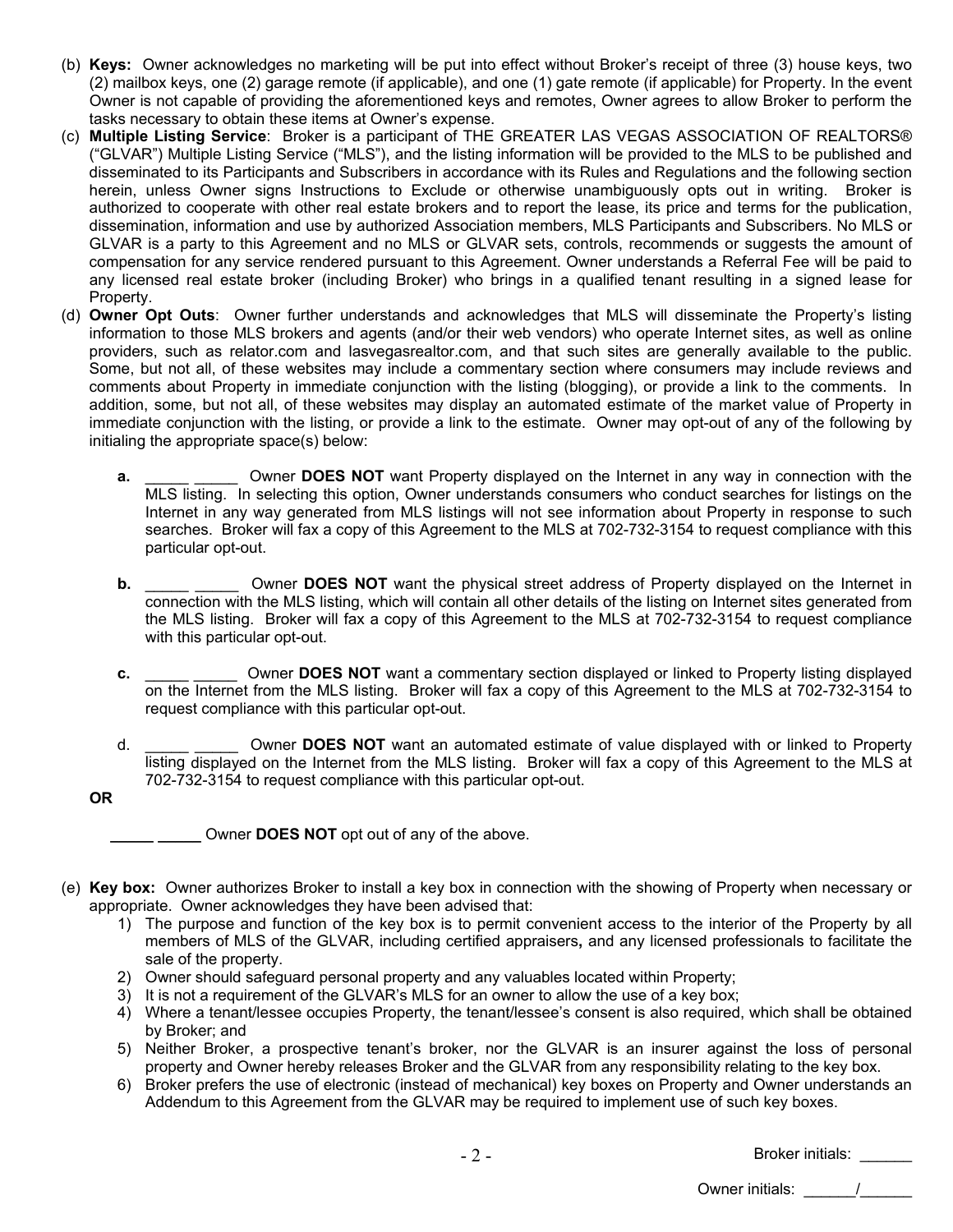- (b) **Keys:** Owner acknowledges no marketing will be put into effect without Broker's receipt of three (3) house keys, two (2) mailbox keys, one (2) garage remote (if applicable), and one (1) gate remote (if applicable) for Property. In the event Owner is not capable of providing the aforementioned keys and remotes, Owner agrees to allow Broker to perform the tasks necessary to obtain these items at Owner's expense.
- (c) **Multiple Listing Service**: Broker is a participant of THE GREATER LAS VEGAS ASSOCIATION OF REALTORS® ("GLVAR") Multiple Listing Service ("MLS"), and the listing information will be provided to the MLS to be published and disseminated to its Participants and Subscribers in accordance with its Rules and Regulations and the following section herein, unless Owner signs Instructions to Exclude or otherwise unambiguously opts out in writing. Broker is authorized to cooperate with other real estate brokers and to report the lease, its price and terms for the publication, dissemination, information and use by authorized Association members, MLS Participants and Subscribers. No MLS or GLVAR is a party to this Agreement and no MLS or GLVAR sets, controls, recommends or suggests the amount of compensation for any service rendered pursuant to this Agreement. Owner understands a Referral Fee will be paid to any licensed real estate broker (including Broker) who brings in a qualified tenant resulting in a signed lease for Property.
- (d) **Owner Opt Outs**: Owner further understands and acknowledges that MLS will disseminate the Property's listing information to those MLS brokers and agents (and/or their web vendors) who operate Internet sites, as well as online providers, such as relator.com and lasvegasrealtor.com, and that such sites are generally available to the public. Some, but not all, of these websites may include a commentary section where consumers may include reviews and comments about Property in immediate conjunction with the listing (blogging), or provide a link to the comments. In addition, some, but not all, of these websites may display an automated estimate of the market value of Property in immediate conjunction with the listing, or provide a link to the estimate. Owner may opt-out of any of the following by initialing the appropriate space(s) below:
	- **a. 2.** Owner **DOES NOT** want Property displayed on the Internet in any way in connection with the MLS listing. In selecting this option, Owner understands consumers who conduct searches for listings on the Internet in any way generated from MLS listings will not see information about Property in response to such searches. Broker will fax a copy of this Agreement to the MLS at 702-732-3154 to request compliance with this particular opt-out.
	- **b. b.** Owner **DOES NOT** want the physical street address of Property displayed on the Internet in connection with the MLS listing, which will contain all other details of the listing on Internet sites generated from the MLS listing. Broker will fax a copy of this Agreement to the MLS at 702-732-3154 to request compliance with this particular opt-out.
	- **c. COMEX OWNER DOES NOT** want a commentary section displayed or linked to Property listing displayed on the Internet from the MLS listing. Broker will fax a copy of this Agreement to the MLS at 702-732-3154 to request compliance with this particular opt-out.
	- d. \_\_\_\_\_ \_\_\_\_\_ Owner **DOES NOT** want an automated estimate of value displayed with or linked to Property listing displayed on the Internet from the MLS listing. Broker will fax a copy of this Agreement to the MLS at 702-732-3154 to request compliance with this particular opt-out.
	- **OR**

- (e) **Key box:** Owner authorizes Broker to install a key box in connection with the showing of Property when necessary or appropriate. Owner acknowledges they have been advised that:
	- 1) The purpose and function of the key box is to permit convenient access to the interior of the Property by all members of MLS of the GLVAR, including certified appraisers**,** and any licensed professionals to facilitate the sale of the property.
	- 2) Owner should safeguard personal property and any valuables located within Property;
	- 3) It is not a requirement of the GLVAR's MLS for an owner to allow the use of a key box;
	- 4) Where a tenant/lessee occupies Property, the tenant/lessee's consent is also required, which shall be obtained by Broker; and
	- 5) Neither Broker, a prospective tenant's broker, nor the GLVAR is an insurer against the loss of personal property and Owner hereby releases Broker and the GLVAR from any responsibility relating to the key box.
	- 6) Broker prefers the use of electronic (instead of mechanical) key boxes on Property and Owner understands an Addendum to this Agreement from the GLVAR may be required to implement use of such key boxes.

- 2 -

Broker initials: \_\_\_\_\_\_ Owner initials:  $\qquad \qquad /$ 

**\_\_\_\_\_ \_\_\_\_\_** Owner **DOES NOT** opt out of any of the above.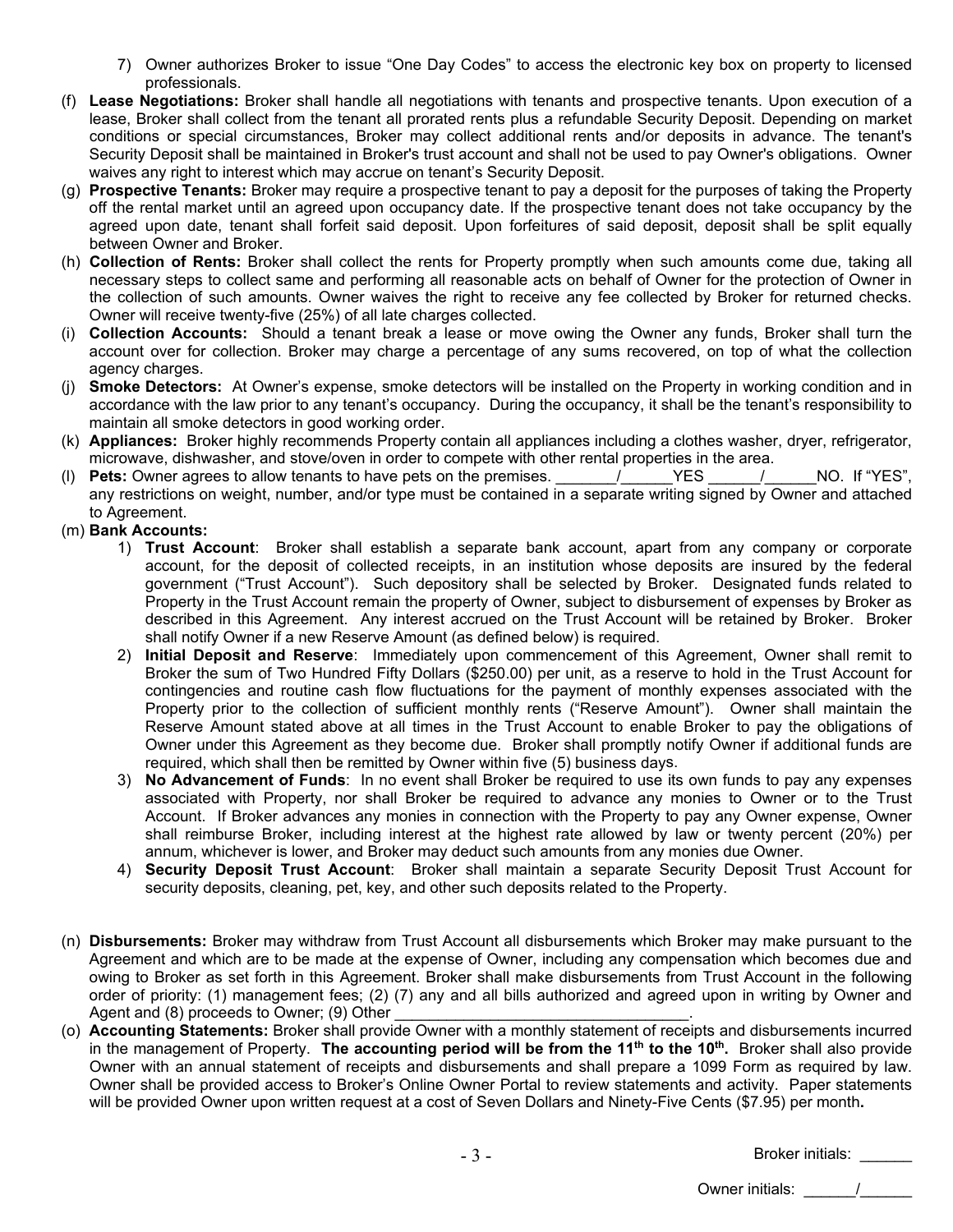- 7) Owner authorizes Broker to issue "One Day Codes" to access the electronic key box on property to licensed professionals.
- (f) **Lease Negotiations:** Broker shall handle all negotiations with tenants and prospective tenants. Upon execution of a lease, Broker shall collect from the tenant all prorated rents plus a refundable Security Deposit. Depending on market conditions or special circumstances, Broker may collect additional rents and/or deposits in advance. The tenant's Security Deposit shall be maintained in Broker's trust account and shall not be used to pay Owner's obligations. Owner waives any right to interest which may accrue on tenant's Security Deposit.
- (g) **Prospective Tenants:** Broker may require a prospective tenant to pay a deposit for the purposes of taking the Property off the rental market until an agreed upon occupancy date. If the prospective tenant does not take occupancy by the agreed upon date, tenant shall forfeit said deposit. Upon forfeitures of said deposit, deposit shall be split equally between Owner and Broker.
- (h) **Collection of Rents:** Broker shall collect the rents for Property promptly when such amounts come due, taking all necessary steps to collect same and performing all reasonable acts on behalf of Owner for the protection of Owner in the collection of such amounts. Owner waives the right to receive any fee collected by Broker for returned checks. Owner will receive twenty-five (25%) of all late charges collected.
- (i) **Collection Accounts:** Should a tenant break a lease or move owing the Owner any funds, Broker shall turn the account over for collection. Broker may charge a percentage of any sums recovered, on top of what the collection agency charges.
- (j) **Smoke Detectors:** At Owner's expense, smoke detectors will be installed on the Property in working condition and in accordance with the law prior to any tenant's occupancy. During the occupancy, it shall be the tenant's responsibility to maintain all smoke detectors in good working order.
- (k) **Appliances:** Broker highly recommends Property contain all appliances including a clothes washer, dryer, refrigerator, microwave, dishwasher, and stove/oven in order to compete with other rental properties in the area.
- (I) **Pets:** Owner agrees to allow tenants to have pets on the premises.  $\overline{a}$   $\overline{y}$  YES  $\overline{y}$  NO. If "YES", any restrictions on weight, number, and/or type must be contained in a separate writing signed by Owner and attached to Agreement.
- (m) **Bank Accounts:**
	- 1) **Trust Account**: Broker shall establish a separate bank account, apart from any company or corporate account, for the deposit of collected receipts, in an institution whose deposits are insured by the federal government ("Trust Account"). Such depository shall be selected by Broker. Designated funds related to Property in the Trust Account remain the property of Owner, subject to disbursement of expenses by Broker as described in this Agreement. Any interest accrued on the Trust Account will be retained by Broker. Broker shall notify Owner if a new Reserve Amount (as defined below) is required.
	- 2) **Initial Deposit and Reserve**: Immediately upon commencement of this Agreement, Owner shall remit to Broker the sum of Two Hundred Fifty Dollars (\$250.00) per unit, as a reserve to hold in the Trust Account for contingencies and routine cash flow fluctuations for the payment of monthly expenses associated with the Property prior to the collection of sufficient monthly rents ("Reserve Amount"). Owner shall maintain the Reserve Amount stated above at all times in the Trust Account to enable Broker to pay the obligations of Owner under this Agreement as they become due. Broker shall promptly notify Owner if additional funds are required, which shall then be remitted by Owner within five (5) business days.
	- 3) **No Advancement of Funds**: In no event shall Broker be required to use its own funds to pay any expenses associated with Property, nor shall Broker be required to advance any monies to Owner or to the Trust Account. If Broker advances any monies in connection with the Property to pay any Owner expense, Owner shall reimburse Broker, including interest at the highest rate allowed by law or twenty percent (20%) per annum, whichever is lower, and Broker may deduct such amounts from any monies due Owner.
	- 4) **Security Deposit Trust Account**: Broker shall maintain a separate Security Deposit Trust Account for security deposits, cleaning, pet, key, and other such deposits related to the Property.
- (n) **Disbursements:** Broker may withdraw from Trust Account all disbursements which Broker may make pursuant to the Agreement and which are to be made at the expense of Owner, including any compensation which becomes due and owing to Broker as set forth in this Agreement. Broker shall make disbursements from Trust Account in the following order of priority: (1) management fees; (2) (7) any and all bills authorized and agreed upon in writing by Owner and Agent and  $(8)$  proceeds to Owner;  $(9)$  Other
- (o) **Accounting Statements:** Broker shall provide Owner with a monthly statement of receipts and disbursements incurred in the management of Property. **The accounting period will be from the 11<sup>th</sup> to the 10<sup>th</sup>. Broker shall also provide** Owner with an annual statement of receipts and disbursements and shall prepare a 1099 Form as required by law. Owner shall be provided access to Broker's Online Owner Portal to review statements and activity. Paper statements will be provided Owner upon written request at a cost of Seven Dollars and Ninety-Five Cents (\$7.95) per month**.**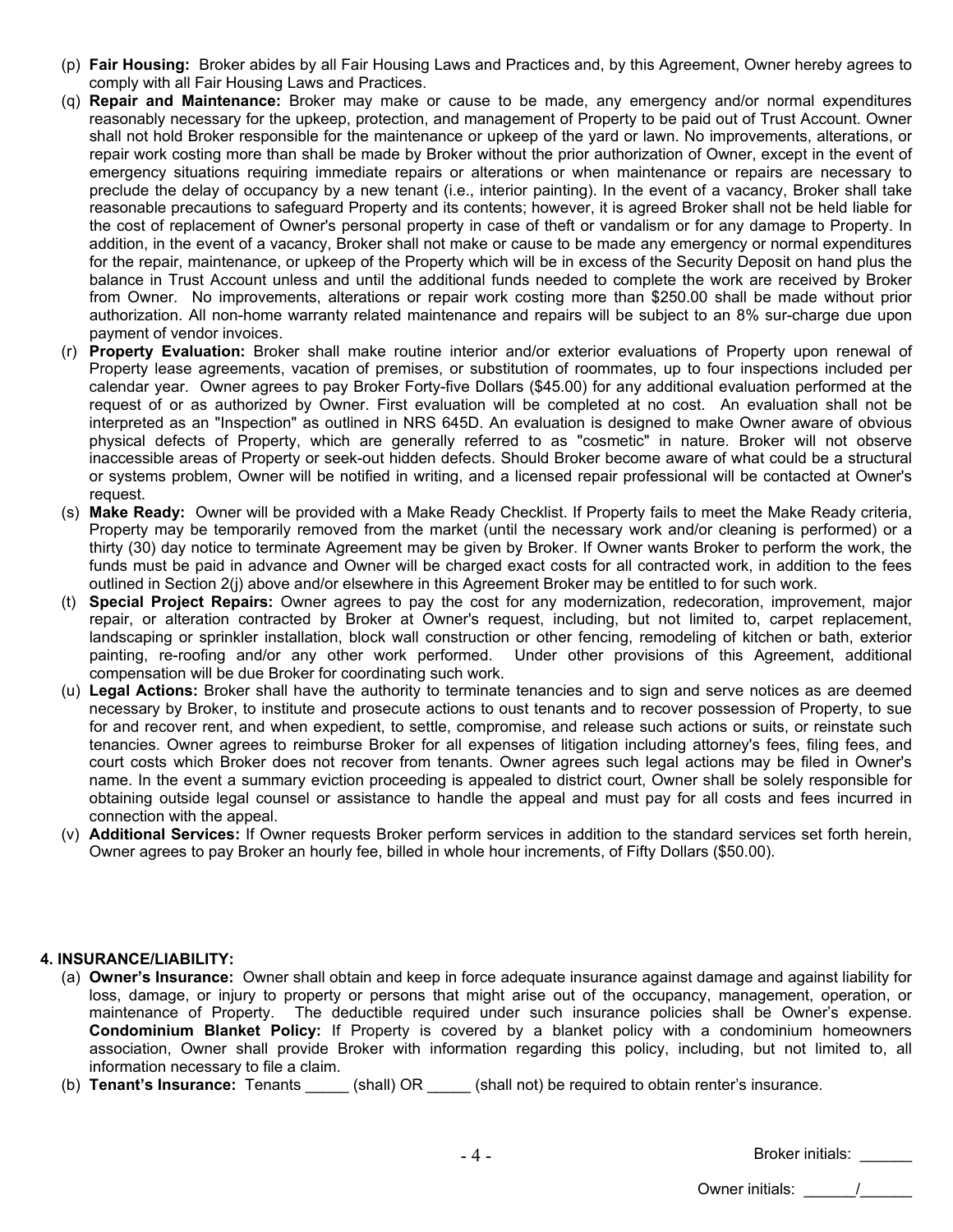- (p) **Fair Housing:** Broker abides by all Fair Housing Laws and Practices and, by this Agreement, Owner hereby agrees to comply with all Fair Housing Laws and Practices.
- (q) **Repair and Maintenance:** Broker may make or cause to be made, any emergency and/or normal expenditures reasonably necessary for the upkeep, protection, and management of Property to be paid out of Trust Account. Owner shall not hold Broker responsible for the maintenance or upkeep of the yard or lawn. No improvements, alterations, or repair work costing more than shall be made by Broker without the prior authorization of Owner, except in the event of emergency situations requiring immediate repairs or alterations or when maintenance or repairs are necessary to preclude the delay of occupancy by a new tenant (i.e., interior painting). In the event of a vacancy, Broker shall take reasonable precautions to safeguard Property and its contents; however, it is agreed Broker shall not be held liable for the cost of replacement of Owner's personal property in case of theft or vandalism or for any damage to Property. In addition, in the event of a vacancy, Broker shall not make or cause to be made any emergency or normal expenditures for the repair, maintenance, or upkeep of the Property which will be in excess of the Security Deposit on hand plus the balance in Trust Account unless and until the additional funds needed to complete the work are received by Broker from Owner. No improvements, alterations or repair work costing more than \$250.00 shall be made without prior authorization. All non-home warranty related maintenance and repairs will be subject to an 8% sur-charge due upon payment of vendor invoices.
- (r) **Property Evaluation:** Broker shall make routine interior and/or exterior evaluations of Property upon renewal of Property lease agreements, vacation of premises, or substitution of roommates, up to four inspections included per calendar year. Owner agrees to pay Broker Forty-five Dollars (\$45.00) for any additional evaluation performed at the request of or as authorized by Owner. First evaluation will be completed at no cost.An evaluation shall not be interpreted as an "Inspection" as outlined in NRS 645D. An evaluation is designed to make Owner aware of obvious physical defects of Property, which are generally referred to as "cosmetic" in nature. Broker will not observe inaccessible areas of Property or seek-out hidden defects. Should Broker become aware of what could be a structural or systems problem, Owner will be notified in writing, and a licensed repair professional will be contacted at Owner's request.
- (s) **Make Ready:** Owner will be provided with a Make Ready Checklist. If Property fails to meet the Make Ready criteria, Property may be temporarily removed from the market (until the necessary work and/or cleaning is performed) or a thirty (30) day notice to terminate Agreement may be given by Broker. If Owner wants Broker to perform the work, the funds must be paid in advance and Owner will be charged exact costs for all contracted work, in addition to the fees outlined in Section 2(j) above and/or elsewhere in this Agreement Broker may be entitled to for such work.
- (t) **Special Project Repairs:** Owner agrees to pay the cost for any modernization, redecoration, improvement, major repair, or alteration contracted by Broker at Owner's request, including, but not limited to, carpet replacement, landscaping or sprinkler installation, block wall construction or other fencing, remodeling of kitchen or bath, exterior painting, re-roofing and/or any other work performed. Under other provisions of this Agreement, additional compensation will be due Broker for coordinating such work.
- (u) **Legal Actions:** Broker shall have the authority to terminate tenancies and to sign and serve notices as are deemed necessary by Broker, to institute and prosecute actions to oust tenants and to recover possession of Property, to sue for and recover rent, and when expedient, to settle, compromise, and release such actions or suits, or reinstate such tenancies. Owner agrees to reimburse Broker for all expenses of litigation including attorney's fees, filing fees, and court costs which Broker does not recover from tenants. Owner agrees such legal actions may be filed in Owner's name. In the event a summary eviction proceeding is appealed to district court, Owner shall be solely responsible for obtaining outside legal counsel or assistance to handle the appeal and must pay for all costs and fees incurred in connection with the appeal.
- (v) **Additional Services:** If Owner requests Broker perform services in addition to the standard services set forth herein, Owner agrees to pay Broker an hourly fee, billed in whole hour increments, of Fifty Dollars (\$50.00).

# **4. INSURANCE/LIABILITY:**

- (a) **Owner's Insurance:** Owner shall obtain and keep in force adequate insurance against damage and against liability for loss, damage, or injury to property or persons that might arise out of the occupancy, management, operation, or maintenance of Property. The deductible required under such insurance policies shall be Owner's expense. **Condominium Blanket Policy:** If Property is covered by a blanket policy with a condominium homeowners association, Owner shall provide Broker with information regarding this policy, including, but not limited to, all information necessary to file a claim.
- (b) **Tenant's Insurance:** Tenants \_\_\_\_\_ (shall) OR \_\_\_\_\_ (shall not) be required to obtain renter's insurance.

| Broker initials: |  |
|------------------|--|
| Owner initials:  |  |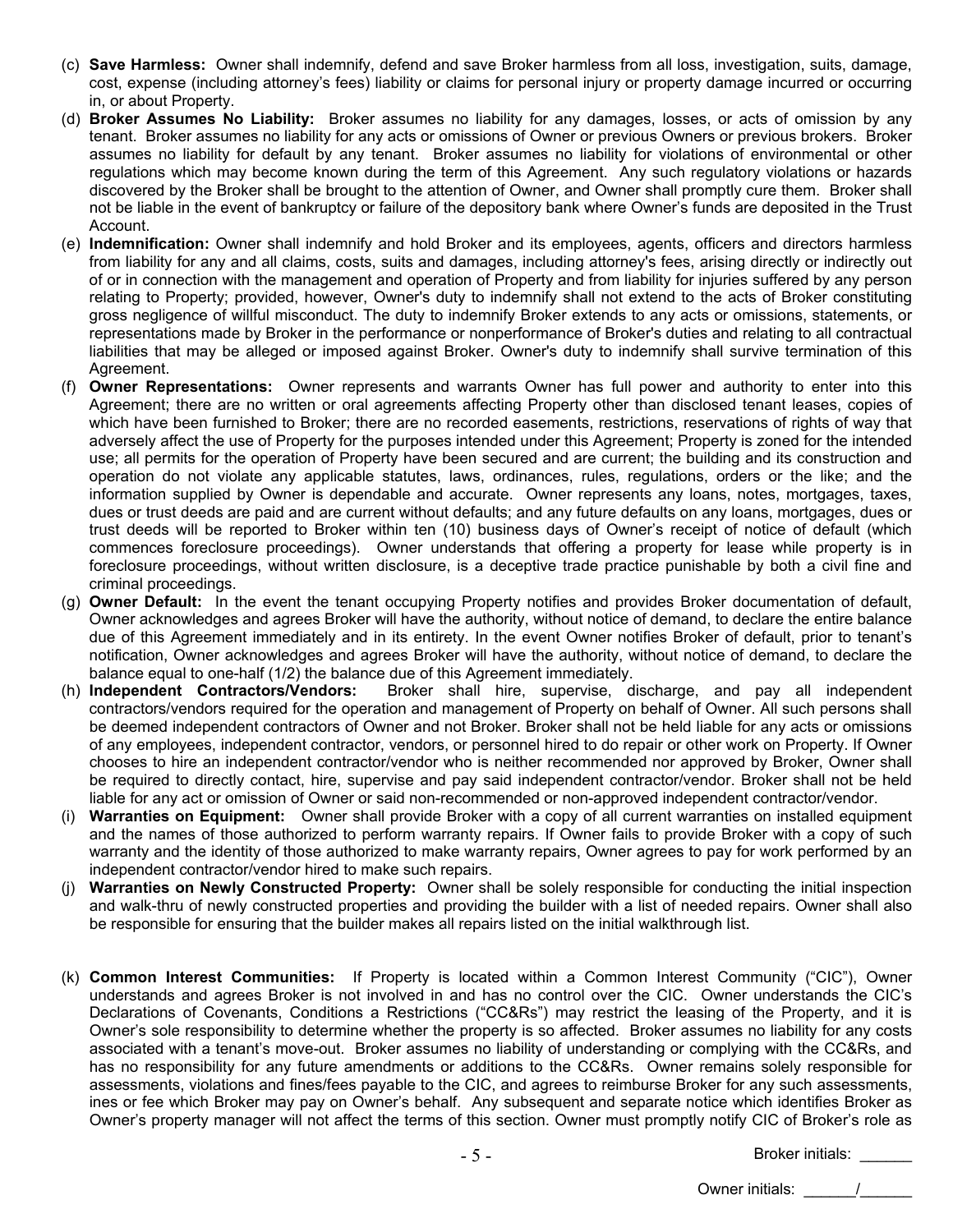- (c) **Save Harmless:** Owner shall indemnify, defend and save Broker harmless from all loss, investigation, suits, damage, cost, expense (including attorney's fees) liability or claims for personal injury or property damage incurred or occurring in, or about Property.
- (d) **Broker Assumes No Liability:** Broker assumes no liability for any damages, losses, or acts of omission by any tenant. Broker assumes no liability for any acts or omissions of Owner or previous Owners or previous brokers. Broker assumes no liability for default by any tenant. Broker assumes no liability for violations of environmental or other regulations which may become known during the term of this Agreement. Any such regulatory violations or hazards discovered by the Broker shall be brought to the attention of Owner, and Owner shall promptly cure them. Broker shall not be liable in the event of bankruptcy or failure of the depository bank where Owner's funds are deposited in the Trust Account.
- (e) **Indemnification:** Owner shall indemnify and hold Broker and its employees, agents, officers and directors harmless from liability for any and all claims, costs, suits and damages, including attorney's fees, arising directly or indirectly out of or in connection with the management and operation of Property and from liability for injuries suffered by any person relating to Property; provided, however, Owner's duty to indemnify shall not extend to the acts of Broker constituting gross negligence of willful misconduct. The duty to indemnify Broker extends to any acts or omissions, statements, or representations made by Broker in the performance or nonperformance of Broker's duties and relating to all contractual liabilities that may be alleged or imposed against Broker. Owner's duty to indemnify shall survive termination of this Agreement.
- (f) **Owner Representations:** Owner represents and warrants Owner has full power and authority to enter into this Agreement; there are no written or oral agreements affecting Property other than disclosed tenant leases, copies of which have been furnished to Broker; there are no recorded easements, restrictions, reservations of rights of way that adversely affect the use of Property for the purposes intended under this Agreement; Property is zoned for the intended use; all permits for the operation of Property have been secured and are current; the building and its construction and operation do not violate any applicable statutes, laws, ordinances, rules, regulations, orders or the like; and the information supplied by Owner is dependable and accurate. Owner represents any loans, notes, mortgages, taxes, dues or trust deeds are paid and are current without defaults; and any future defaults on any loans, mortgages, dues or trust deeds will be reported to Broker within ten (10) business days of Owner's receipt of notice of default (which commences foreclosure proceedings). Owner understands that offering a property for lease while property is in foreclosure proceedings, without written disclosure, is a deceptive trade practice punishable by both a civil fine and criminal proceedings.
- (g) **Owner Default:** In the event the tenant occupying Property notifies and provides Broker documentation of default, Owner acknowledges and agrees Broker will have the authority, without notice of demand, to declare the entire balance due of this Agreement immediately and in its entirety. In the event Owner notifies Broker of default, prior to tenant's notification, Owner acknowledges and agrees Broker will have the authority, without notice of demand, to declare the balance equal to one-half (1/2) the balance due of this Agreement immediately.
- (h) **Independent Contractors/Vendors:** Broker shall hire, supervise, discharge, and pay all independent contractors/vendors required for the operation and management of Property on behalf of Owner. All such persons shall be deemed independent contractors of Owner and not Broker. Broker shall not be held liable for any acts or omissions of any employees, independent contractor, vendors, or personnel hired to do repair or other work on Property. If Owner chooses to hire an independent contractor/vendor who is neither recommended nor approved by Broker, Owner shall be required to directly contact, hire, supervise and pay said independent contractor/vendor. Broker shall not be held liable for any act or omission of Owner or said non-recommended or non-approved independent contractor/vendor.
- (i) **Warranties on Equipment:** Owner shall provide Broker with a copy of all current warranties on installed equipment and the names of those authorized to perform warranty repairs. If Owner fails to provide Broker with a copy of such warranty and the identity of those authorized to make warranty repairs, Owner agrees to pay for work performed by an independent contractor/vendor hired to make such repairs.
- (j) **Warranties on Newly Constructed Property:** Owner shall be solely responsible for conducting the initial inspection and walk-thru of newly constructed properties and providing the builder with a list of needed repairs. Owner shall also be responsible for ensuring that the builder makes all repairs listed on the initial walkthrough list.
- (k) **Common Interest Communities:** If Property is located within a Common Interest Community ("CIC"), Owner understands and agrees Broker is not involved in and has no control over the CIC. Owner understands the CIC's Declarations of Covenants, Conditions a Restrictions ("CC&Rs") may restrict the leasing of the Property, and it is Owner's sole responsibility to determine whether the property is so affected. Broker assumes no liability for any costs associated with a tenant's move-out. Broker assumes no liability of understanding or complying with the CC&Rs, and has no responsibility for any future amendments or additions to the CC&Rs. Owner remains solely responsible for assessments, violations and fines/fees payable to the CIC, and agrees to reimburse Broker for any such assessments, ines or fee which Broker may pay on Owner's behalf. Any subsequent and separate notice which identifies Broker as Owner's property manager will not affect the terms of this section. Owner must promptly notify CIC of Broker's role as

- 5 -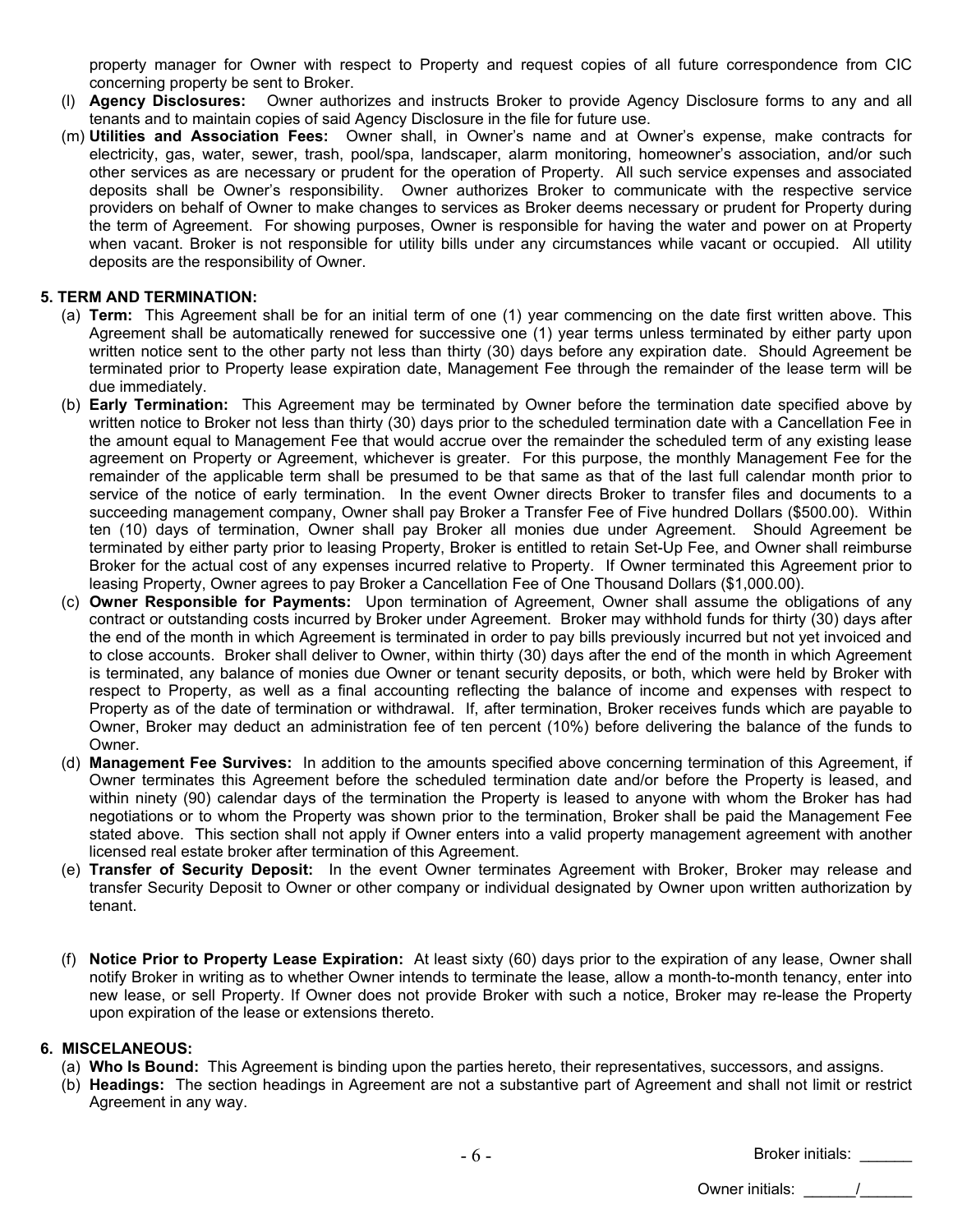property manager for Owner with respect to Property and request copies of all future correspondence from CIC concerning property be sent to Broker.

- (l) **Agency Disclosures:** Owner authorizes and instructs Broker to provide Agency Disclosure forms to any and all tenants and to maintain copies of said Agency Disclosure in the file for future use.
- (m) **Utilities and Association Fees:** Owner shall, in Owner's name and at Owner's expense, make contracts for electricity, gas, water, sewer, trash, pool/spa, landscaper, alarm monitoring, homeowner's association, and/or such other services as are necessary or prudent for the operation of Property. All such service expenses and associated deposits shall be Owner's responsibility. Owner authorizes Broker to communicate with the respective service providers on behalf of Owner to make changes to services as Broker deems necessary or prudent for Property during the term of Agreement. For showing purposes, Owner is responsible for having the water and power on at Property when vacant. Broker is not responsible for utility bills under any circumstances while vacant or occupied. All utility deposits are the responsibility of Owner.

### **5. TERM AND TERMINATION:**

- (a) **Term:** This Agreement shall be for an initial term of one (1) year commencing on the date first written above. This Agreement shall be automatically renewed for successive one (1) year terms unless terminated by either party upon written notice sent to the other party not less than thirty (30) days before any expiration date. Should Agreement be terminated prior to Property lease expiration date, Management Fee through the remainder of the lease term will be due immediately.
- (b) **Early Termination:** This Agreement may be terminated by Owner before the termination date specified above by written notice to Broker not less than thirty (30) days prior to the scheduled termination date with a Cancellation Fee in the amount equal to Management Fee that would accrue over the remainder the scheduled term of any existing lease agreement on Property or Agreement, whichever is greater. For this purpose, the monthly Management Fee for the remainder of the applicable term shall be presumed to be that same as that of the last full calendar month prior to service of the notice of early termination. In the event Owner directs Broker to transfer files and documents to a succeeding management company, Owner shall pay Broker a Transfer Fee of Five hundred Dollars (\$500.00). Within ten (10) days of termination, Owner shall pay Broker all monies due under Agreement. Should Agreement be terminated by either party prior to leasing Property, Broker is entitled to retain Set-Up Fee, and Owner shall reimburse Broker for the actual cost of any expenses incurred relative to Property. If Owner terminated this Agreement prior to leasing Property, Owner agrees to pay Broker a Cancellation Fee of One Thousand Dollars (\$1,000.00).
- (c) **Owner Responsible for Payments:** Upon termination of Agreement, Owner shall assume the obligations of any contract or outstanding costs incurred by Broker under Agreement. Broker may withhold funds for thirty (30) days after the end of the month in which Agreement is terminated in order to pay bills previously incurred but not yet invoiced and to close accounts. Broker shall deliver to Owner, within thirty (30) days after the end of the month in which Agreement is terminated, any balance of monies due Owner or tenant security deposits, or both, which were held by Broker with respect to Property, as well as a final accounting reflecting the balance of income and expenses with respect to Property as of the date of termination or withdrawal. If, after termination, Broker receives funds which are payable to Owner, Broker may deduct an administration fee of ten percent (10%) before delivering the balance of the funds to Owner.
- (d) **Management Fee Survives:** In addition to the amounts specified above concerning termination of this Agreement, if Owner terminates this Agreement before the scheduled termination date and/or before the Property is leased, and within ninety (90) calendar days of the termination the Property is leased to anyone with whom the Broker has had negotiations or to whom the Property was shown prior to the termination, Broker shall be paid the Management Fee stated above. This section shall not apply if Owner enters into a valid property management agreement with another licensed real estate broker after termination of this Agreement.
- (e) **Transfer of Security Deposit:** In the event Owner terminates Agreement with Broker, Broker may release and transfer Security Deposit to Owner or other company or individual designated by Owner upon written authorization by tenant.
- (f) **Notice Prior to Property Lease Expiration:** At least sixty (60) days prior to the expiration of any lease, Owner shall notify Broker in writing as to whether Owner intends to terminate the lease, allow a month-to-month tenancy, enter into new lease, or sell Property. If Owner does not provide Broker with such a notice, Broker may re-lease the Property upon expiration of the lease or extensions thereto.

#### **6. MISCELANEOUS:**

- (a) **Who Is Bound:** This Agreement is binding upon the parties hereto, their representatives, successors, and assigns.
- (b) **Headings:** The section headings in Agreement are not a substantive part of Agreement and shall not limit or restrict Agreement in any way.

Broker initials: